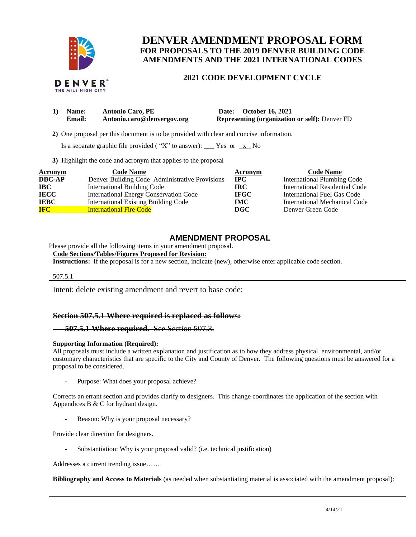

THE MILE HIGH CITY

# **DENVER AMENDMENT PROPOSAL FORM FOR PROPOSALS TO THE 2019 DENVER BUILDING CODE AMENDMENTS AND THE 2021 INTERNATIONAL CODES**

### **2021 CODE DEVELOPMENT CYCLE**

| 1) Name:      | <b>Antonio Caro, PE</b>    | Date: October 16, 2021                                |
|---------------|----------------------------|-------------------------------------------------------|
| <b>Email:</b> | Antonio.caro@denvergov.org | <b>Representing (organization or self): Denver FD</b> |

 **2)** One proposal per this document is to be provided with clear and concise information.

Is a separate graphic file provided ("X" to answer): \_\_\_ Yes or  $x$  No

**3)** Highlight the code and acronym that applies to the proposal

| Acronym       | <b>Code Name</b>                               | Acronym     | <b>Code Name</b>                   |
|---------------|------------------------------------------------|-------------|------------------------------------|
| <b>DBC-AP</b> | Denver Building Code–Administrative Provisions | <b>IPC</b>  | <b>International Plumbing Code</b> |
| <b>IBC</b>    | <b>International Building Code</b>             | IRC-        | International Residential Code     |
| <b>IECC</b>   | <b>International Energy Conservation Code</b>  | <b>IFGC</b> | International Fuel Gas Code        |
| <b>IEBC</b>   | <b>International Existing Building Code</b>    | IMC.        | International Mechanical Code      |
| <b>IFC</b>    | <b>International Fire Code</b>                 | DGC         | Denver Green Code                  |

## **AMENDMENT PROPOSAL**

Please provide all the following items in your amendment proposal.

**Code Sections/Tables/Figures Proposed for Revision:**

**Instructions:** If the proposal is for a new section, indicate (new), otherwise enter applicable code section.

507.5.1

Intent: delete existing amendment and revert to base code:

#### **Section 507.5.1 Where required is replaced as follows:**

**507.5.1 Where required.** See Section 507.3.

#### **Supporting Information (Required):**

All proposals must include a written explanation and justification as to how they address physical, environmental, and/or customary characteristics that are specific to the City and County of Denver. The following questions must be answered for a proposal to be considered.

Purpose: What does your proposal achieve?

Corrects an errant section and provides clarify to designers. This change coordinates the application of the section with Appendices B & C for hydrant design.

Reason: Why is your proposal necessary?

Provide clear direction for designers.

Substantiation: Why is your proposal valid? (i.e. technical justification)

Addresses a current trending issue……

**Bibliography and Access to Materials** (as needed when substantiating material is associated with the amendment proposal):